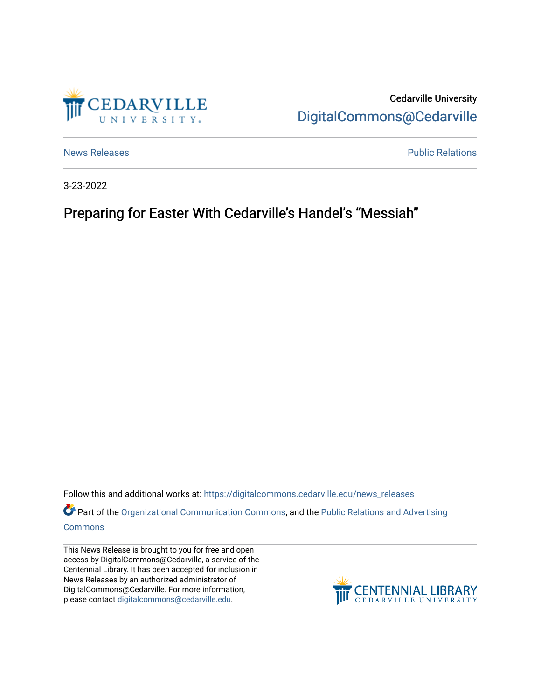

Cedarville University [DigitalCommons@Cedarville](https://digitalcommons.cedarville.edu/) 

[News Releases](https://digitalcommons.cedarville.edu/news_releases) **Public Relations Public Relations** 

3-23-2022

## Preparing for Easter With Cedarville's Handel's "Messiah"

Follow this and additional works at: [https://digitalcommons.cedarville.edu/news\\_releases](https://digitalcommons.cedarville.edu/news_releases?utm_source=digitalcommons.cedarville.edu%2Fnews_releases%2F1522&utm_medium=PDF&utm_campaign=PDFCoverPages) 

Part of the [Organizational Communication Commons](http://network.bepress.com/hgg/discipline/335?utm_source=digitalcommons.cedarville.edu%2Fnews_releases%2F1522&utm_medium=PDF&utm_campaign=PDFCoverPages), and the Public Relations and Advertising [Commons](http://network.bepress.com/hgg/discipline/336?utm_source=digitalcommons.cedarville.edu%2Fnews_releases%2F1522&utm_medium=PDF&utm_campaign=PDFCoverPages)

This News Release is brought to you for free and open access by DigitalCommons@Cedarville, a service of the Centennial Library. It has been accepted for inclusion in News Releases by an authorized administrator of DigitalCommons@Cedarville. For more information, please contact [digitalcommons@cedarville.edu](mailto:digitalcommons@cedarville.edu).

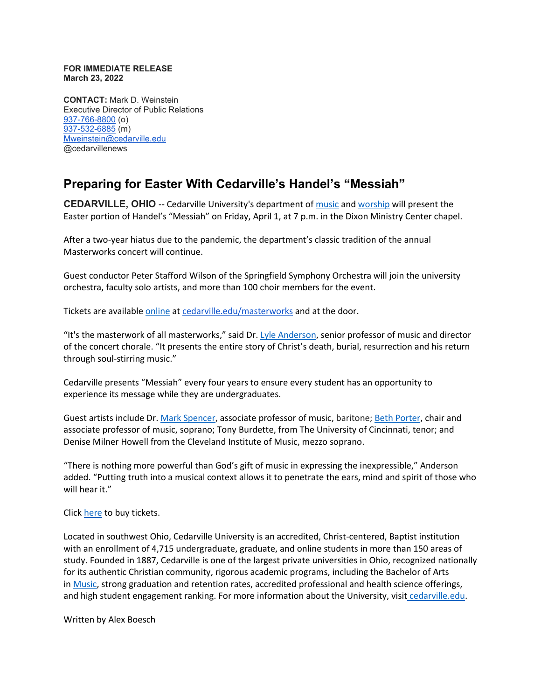## **FOR IMMEDIATE RELEASE March 23, 2022**

**CONTACT:** Mark D. Weinstein Executive Director of Public Relations [937-766-8800](tel:937-766-8800) (o) [937-532-6885](tel:937-532-6885) (m) [Mweinstein@cedarville.edu](mailto:Mweinstein@cedarville.edu) @cedarvillenews

## **Preparing for Easter With Cedarville's Handel's "Messiah"**

**CEDARVILLE, OHIO --** Cedarville University's department of [music](https://www.cedarville.edu/academic-programs/music) and [worship](https://www.cedarville.edu/academic-programs/worship) will present the Easter portion of Handel's "Messiah" on Friday, April 1, at 7 p.m. in the Dixon Ministry Center chapel.

After a two-year hiatus due to the pandemic, the department's classic tradition of the annual Masterworks concert will continue.

Guest conductor Peter Stafford Wilson of the Springfield Symphony Orchestra will join the university orchestra, faculty solo artists, and more than 100 choir members for the event.

Tickets are available [online](https://cedarvilleuniversity.regfox.com/masterworks-concert-2022) at [cedarville.edu/masterworks](http://cedarville.edu/masterworks) and at the door.

"It's the masterwork of all masterworks," said Dr. [Lyle Anderson,](https://www.cedarville.edu/academic-schools-and-departments/music-and-worship/music/faculty/anderson-lyle) senior professor of music and director of the concert chorale. "It presents the entire story of Christ's death, burial, resurrection and his return through soul-stirring music."

Cedarville presents "Messiah" every four years to ensure every student has an opportunity to experience its message while they are undergraduates.

Guest artists include Dr. [Mark Spencer,](https://www.cedarville.edu/academic-schools-and-departments/music-and-worship/music/faculty/spencer-mark) associate professor of music, baritone; [Beth Porter,](https://www.cedarville.edu/academic-schools-and-departments/music-and-worship/music/faculty/porter-beth) chair and associate professor of music, soprano; Tony Burdette, from The University of Cincinnati, tenor; and Denise Milner Howell from the Cleveland Institute of Music, mezzo soprano.

"There is nothing more powerful than God's gift of music in expressing the inexpressible," Anderson added. "Putting truth into a musical context allows it to penetrate the ears, mind and spirit of those who will hear it."

Click [here](https://cedarvilleuniversity.regfox.com/masterworks-concert-2022) to buy tickets.

Located in southwest Ohio, Cedarville University is an accredited, Christ-centered, Baptist institution with an enrollment of 4,715 undergraduate, graduate, and online students in more than 150 areas of study. Founded in 1887, Cedarville is one of the largest private universities in Ohio, recognized nationally for its authentic Christian community, rigorous academic programs, including the Bachelor of Arts in [Music,](https://www.cedarville.edu/academic-programs/music) strong graduation and retention rates, accredited professional and health science offerings, and high student engagement ranking. For more information about the University, visit [cedarville.edu.](https://www.cedarville.edu/)

Written by Alex Boesch